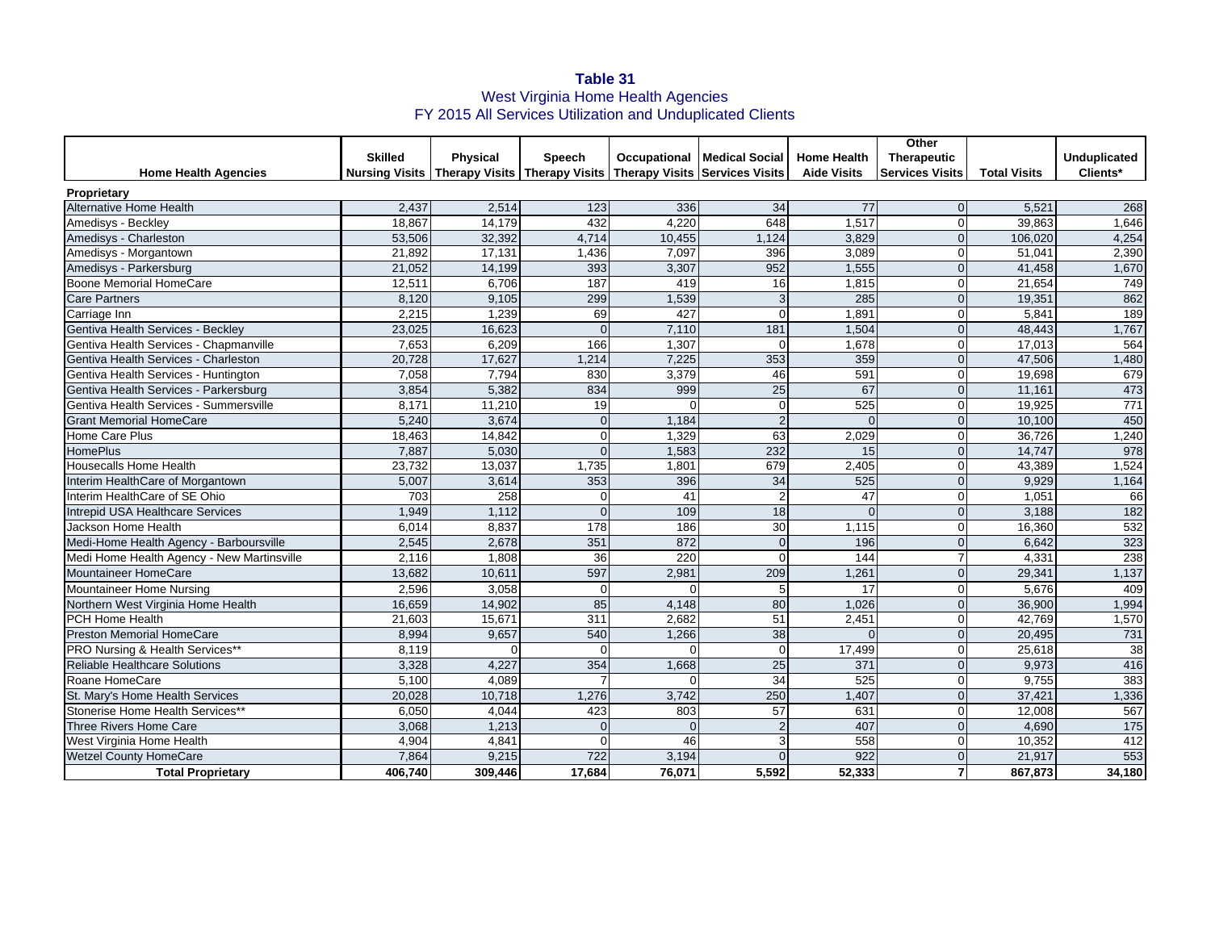## **Table 31** West Virginia Home Health Agencies FY 2015 All Services Utilization and Unduplicated Clients

|                                            |                |                 |                |          |                                                                                     |                    | Other                  |                     |                     |
|--------------------------------------------|----------------|-----------------|----------------|----------|-------------------------------------------------------------------------------------|--------------------|------------------------|---------------------|---------------------|
|                                            | <b>Skilled</b> | <b>Physical</b> | Speech         |          | Occupational   Medical Social                                                       | <b>Home Health</b> | Therapeutic            |                     | <b>Unduplicated</b> |
| <b>Home Health Agencies</b>                |                |                 |                |          | Nursing Visits   Therapy Visits   Therapy Visits   Therapy Visits   Services Visits | <b>Aide Visits</b> | <b>Services Visits</b> | <b>Total Visits</b> | Clients*            |
| Proprietary                                |                |                 |                |          |                                                                                     |                    |                        |                     |                     |
| <b>Alternative Home Health</b>             | 2,437          | 2,514           | 123            | 336      | 34                                                                                  | 77                 | $\Omega$               | 5,521               | 268                 |
| Amedisys - Beckley                         | 18.867         | 14,179          | 432            | 4.220    | 648                                                                                 | 1.517              |                        | 39.863              | 1,646               |
| Amedisys - Charleston                      | 53,506         | 32,392          | 4,714          | 10,455   | 1,124                                                                               | 3,829              |                        | 106,020             | 4,254               |
| Amedisys - Morgantown                      | 21,892         | 17,131          | 1,436          | 7,097    | 396                                                                                 | 3,089              |                        | 51,041              | 2,390               |
| Amedisys - Parkersburg                     | 21,052         | 14,199          | 393            | 3,307    | 952                                                                                 | 1,555              |                        | 41,458              | 1,670               |
| Boone Memorial HomeCare                    | 12,511         | 6,706           | 187            | 419      | 16                                                                                  | 1,815              | $\Omega$               | 21,654              | 749                 |
| <b>Care Partners</b>                       | 8,120          | 9,105           | 299            | 1,539    | $\mathbf{3}$                                                                        | 285                |                        | 19,351              | 862                 |
| Carriage Inn                               | 2.215          | 1.239           | 69             | 427      | $\Omega$                                                                            | 1.891              |                        | 5.841               | 189                 |
| Gentiva Health Services - Beckley          | 23,025         | 16,623          | $\Omega$       | 7,110    | 181                                                                                 | 1,504              | $\Omega$               | 48,443              | 1,767               |
| Gentiva Health Services - Chapmanville     | 7,653          | 6,209           | 166            | 1,307    | $\mathbf 0$                                                                         | 1,678              |                        | 17,013              | 564                 |
| Gentiva Health Services - Charleston       | 20,728         | 17,627          | 1,214          | 7,225    | 353                                                                                 | 359                |                        | 47,506              | 1,480               |
| Gentiva Health Services - Huntington       | 7,058          | 7,794           | 830            | 3,379    | 46                                                                                  | 591                |                        | 19,698              | 679                 |
| Gentiva Health Services - Parkersburg      | 3.854          | 5,382           | 834            | 999      | $\overline{25}$                                                                     | 67                 |                        | 11,16'              | 473                 |
| Gentiva Health Services - Summersville     | 8.171          | 11.210          | 19             | $\Omega$ | $\Omega$                                                                            | 525                |                        | 19,925              | 771                 |
| <b>Grant Memorial HomeCare</b>             | 5,240          | 3.674           | $\overline{0}$ | 1,184    | $\overline{2}$                                                                      | $\Omega$           |                        | 10,100              | 450                 |
| Home Care Plus                             | 18,463         | 14,842          | $\Omega$       | 1,329    | 63                                                                                  | 2,029              |                        | 36,726              | 1,240               |
| <b>HomePlus</b>                            | 7,887          | 5,030           | $\Omega$       | 1,583    | 232                                                                                 | 15                 | $\Omega$               | 14,747              | 978                 |
| <b>Housecalls Home Health</b>              | 23,732         | 13,037          | 1,735          | 1,801    | 679                                                                                 | 2,405              |                        | 43,389              | 1,524               |
| Interim HealthCare of Morgantown           | 5,007          | 3,614           | 353            | 396      | 34                                                                                  | 525                | $\Omega$               | 9,929               | 1,164               |
| Interim HealthCare of SE Ohio              | 703            | 258             | $\Omega$       | 41       | $\overline{2}$                                                                      | 47                 |                        | 1,051               | 66                  |
| Intrepid USA Healthcare Services           | 1,949          | 1,112           | $\Omega$       | 109      | 18                                                                                  | $\sqrt{ }$         | $\Omega$               | 3.188               | 182                 |
| Jackson Home Health                        | 6,014          | 8,837           | 178            | 186      | 30                                                                                  | 1,115              |                        | 16,360              | 532                 |
| Medi-Home Health Agency - Barboursville    | 2,545          | 2,678           | 351            | 872      | $\overline{0}$                                                                      | 196                | $\Omega$               | 6,642               | 323                 |
| Medi Home Health Agency - New Martinsville | 2,116          | 1,808           | 36             | 220      | $\mathbf 0$                                                                         | 144                |                        | 4,331               | 238                 |
| <b>Mountaineer HomeCare</b>                | 13,682         | 10,611          | 597            | 2,981    | 209                                                                                 | 1,261              |                        | 29,341              | 1,137               |
| Mountaineer Home Nursing                   | 2,596          | 3,058           | $\Omega$       | $\Omega$ | 5                                                                                   | 17                 |                        | 5,676               | 409                 |
| Northern West Virginia Home Health         | 16.659         | 14,902          | 85             | 4,148    | 80                                                                                  | 1,026              |                        | 36,900              | 1,994               |
| PCH Home Health                            | 21.603         | 15,671          | 311            | 2,682    | 51                                                                                  | 2,451              |                        | 42.769              | 1,570               |
| <b>Preston Memorial HomeCare</b>           | 8,994          | 9,657           | 540            | 1,266    | 38                                                                                  | $\Omega$           |                        | 20,495              | 731                 |
| PRO Nursing & Health Services**            | 8,119          | $\Omega$        | $\Omega$       | ∩        | $\overline{0}$                                                                      | 17,499             |                        | 25,618              | 38                  |
| <b>Reliable Healthcare Solutions</b>       | 3,328          | 4.227           | 354            | 1,668    | $\overline{25}$                                                                     | 371                | $\Omega$               | 9,973               | 416                 |
| Roane HomeCare                             | 5,100          | 4,089           |                | $\Omega$ | 34                                                                                  | 525                | $\Omega$               | 9,755               | 383                 |
| St. Mary's Home Health Services            | 20,028         | 10,718          | 1,276          | 3,742    | 250                                                                                 | 1,407              | $\Omega$               | 37,421              | 1,336               |
| Stonerise Home Health Services**           | 6,050          | 4,044           | 423            | 803      | 57                                                                                  | 631                |                        | 12,008              | 567                 |
| Three Rivers Home Care                     | 3,068          | 1,213           | $\Omega$       | $\Omega$ | $\overline{2}$                                                                      | 407                | $\Omega$               | 4,690               | $\frac{175}{2}$     |
| West Virginia Home Health                  | 4,904          | 4,841           | $\Omega$       | 46       | 3                                                                                   | 558                |                        | 10,352              | 412                 |
| <b>Wetzel County HomeCare</b>              | 7,864          | 9,215           | 722            | 3,194    | $\overline{0}$                                                                      | 922                |                        | 21,917              | 553                 |
| <b>Total Proprietary</b>                   | 406,740        | 309.446         | 17.684         | 76,071   | 5,592                                                                               | 52,333             |                        | 867,873             | 34,180              |